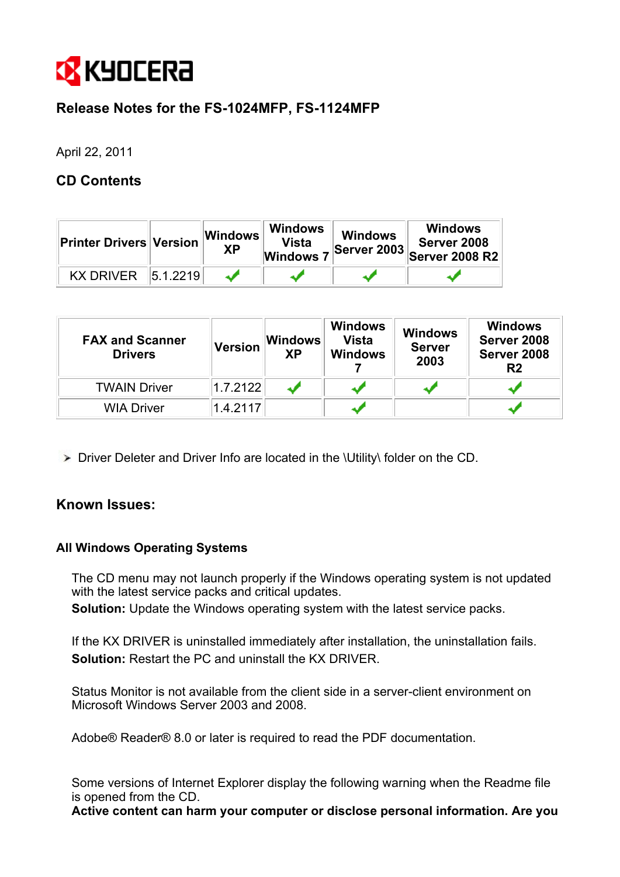

# **Release Notes for the FS-1024MFP, FS-1124MFP**

April 22, 2011

## **CD Contents**

| <b>Printer Drivers Version</b> |          | Windows<br>ΧP | <b>Windows</b><br>Vista<br><b>Windows</b> | <b>Windows</b><br><b>Server 2003</b> | <b>Windows</b><br>Server 2008<br><b>Server 2008 R2</b> |
|--------------------------------|----------|---------------|-------------------------------------------|--------------------------------------|--------------------------------------------------------|
| <b>KX DRIVER</b>               | 5.1.2219 |               |                                           |                                      |                                                        |

| <b>FAX and Scanner</b><br><b>Drivers</b> | <b>Version</b> | <b>Windows</b><br><b>XP</b> | <b>Windows</b><br><b>Vista</b><br><b>Windows</b> | <b>Windows</b><br><b>Server</b><br>2003 | <b>Windows</b><br>Server 2008<br>Server 2008<br>R <sub>2</sub> |
|------------------------------------------|----------------|-----------------------------|--------------------------------------------------|-----------------------------------------|----------------------------------------------------------------|
| <b>TWAIN Driver</b>                      | 1.7.2122       |                             |                                                  |                                         |                                                                |
| <b>WIA Driver</b>                        | 1.4.2117       |                             |                                                  |                                         |                                                                |

Driver Deleter and Driver Info are located in the \Utility\ folder on the CD.

## **Known Issues:**

## **All Windows Operating Systems**

The CD menu may not launch properly if the Windows operating system is not updated with the latest service packs and critical updates.

**Solution:** Update the Windows operating system with the latest service packs.

If the KX DRIVER is uninstalled immediately after installation, the uninstallation fails. **Solution:** Restart the PC and uninstall the KX DRIVER.

Status Monitor is not available from the client side in a server-client environment on Microsoft Windows Server 2003 and 2008.

Adobe® Reader® 8.0 or later is required to read the PDF documentation.

Some versions of Internet Explorer display the following warning when the Readme file is opened from the CD.

**Active content can harm your computer or disclose personal information. Are you**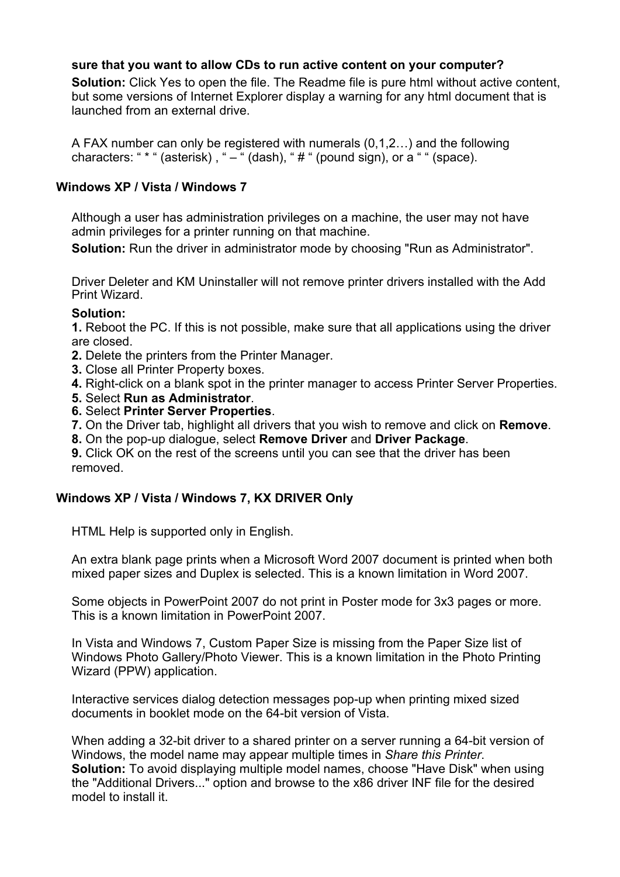## **sure that you want to allow CDs to run active content on your computer?**

**Solution:** Click Yes to open the file. The Readme file is pure html without active content, but some versions of Internet Explorer display a warning for any html document that is launched from an external drive.

A FAX number can only be registered with numerals (0,1,2…) and the following characters: " \* " (asterisk), "  $-$  " (dash), "  $#$  " (pound sign), or a " " (space).

## **Windows XP / Vista / Windows 7**

Although a user has administration privileges on a machine, the user may not have admin privileges for a printer running on that machine.

**Solution:** Run the driver in administrator mode by choosing "Run as Administrator".

Driver Deleter and KM Uninstaller will not remove printer drivers installed with the Add Print Wizard.

## **Solution:**

**1.** Reboot the PC. If this is not possible, make sure that all applications using the driver are closed.

- **2.** Delete the printers from the Printer Manager.
- **3.** Close all Printer Property boxes.
- **4.** Right-click on a blank spot in the printer manager to access Printer Server Properties.
- **5.** Select **Run as Administrator**.
- **6.** Select **Printer Server Properties**.
- **7.** On the Driver tab, highlight all drivers that you wish to remove and click on **Remove**.
- **8.** On the pop-up dialogue, select **Remove Driver** and **Driver Package**.

**9.** Click OK on the rest of the screens until you can see that the driver has been removed.

## **Windows XP / Vista / Windows 7, KX DRIVER Only**

HTML Help is supported only in English.

An extra blank page prints when a Microsoft Word 2007 document is printed when both mixed paper sizes and Duplex is selected. This is a known limitation in Word 2007.

Some objects in PowerPoint 2007 do not print in Poster mode for 3x3 pages or more. This is a known limitation in PowerPoint 2007.

In Vista and Windows 7, Custom Paper Size is missing from the Paper Size list of Windows Photo Gallery/Photo Viewer. This is a known limitation in the Photo Printing Wizard (PPW) application.

Interactive services dialog detection messages pop-up when printing mixed sized documents in booklet mode on the 64-bit version of Vista.

When adding a 32-bit driver to a shared printer on a server running a 64-bit version of Windows, the model name may appear multiple times in *Share this Printer*. **Solution:** To avoid displaying multiple model names, choose "Have Disk" when using the "Additional Drivers..." option and browse to the x86 driver INF file for the desired model to install it.